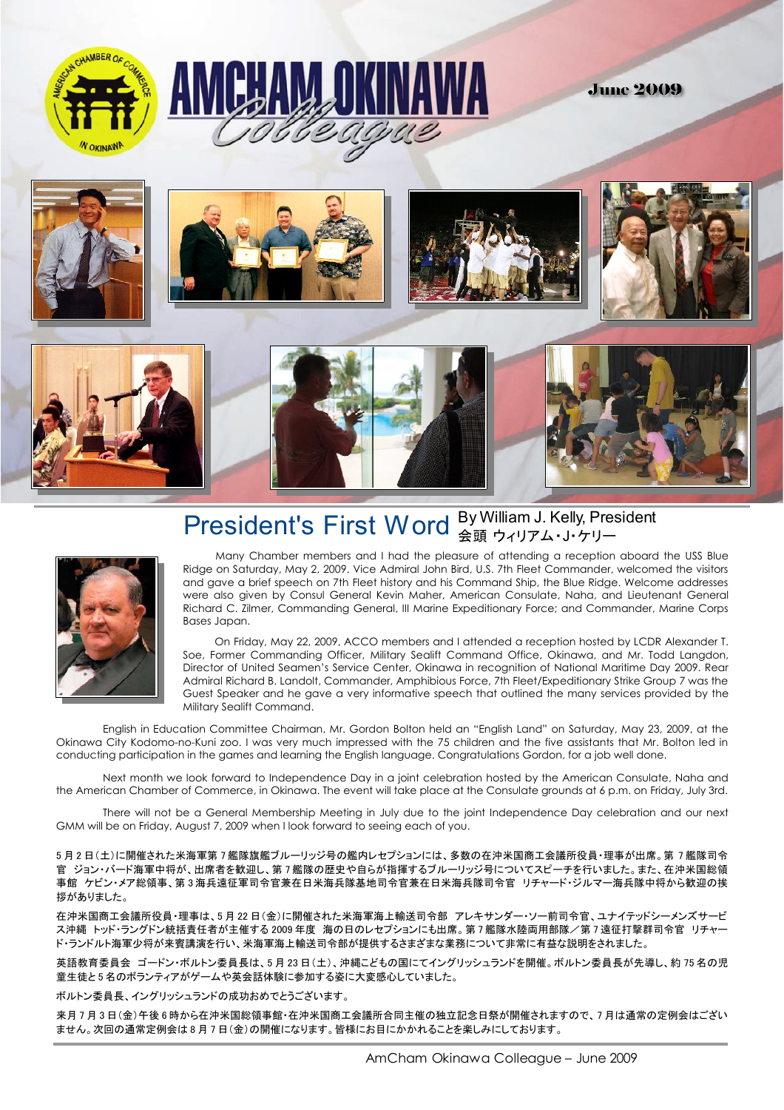



**June 2009** 





#### President's First Word By William J. Kelly, President 会頭 ウィリアム・J・ケリー

Many Chamber members and I had the pleasure of attending a reception aboard the USS Blue Ridge on Saturday, May 2, 2009. Vice Admiral John Bird, U.S. 7th Fleet Commander, welcomed the visitors and gave a brief speech on 7th Fleet history and his Command Ship, the Blue Ridge. Welcome addresses were also given by Consul General Kevin Maher, American Consulate, Naha, and Lieutenant General Richard C. Zilmer, Commanding General, III Marine Expeditionary Force; and Commander, Marine Corps Bases Japan.

On Friday, May 22, 2009, ACCO members and I attended a reception hosted by LCDR Alexander T. Soe, Former Commanding Officer, Military Sealift Command Office, Okinawa, and Mr. Todd Langdon, Director of United Seamen's Service Center, Okinawa in recognition of National Maritime Day 2009. Rear Admiral Richard B. Landolt, Commander, Amphibious Force, 7th Fleet/Expeditionary Strike Group 7 was the Guest Speaker and he gave a very informative speech that outlined the many services provided by the Military Sealift Command.

English in Education Committee Chairman, Mr. Gordon Bolton held an "English Land" on Saturday, May 23, 2009, at the Okinawa City Kodomo-no-Kuni zoo. I was very much impressed with the 75 children and the five assistants that Mr. Bolton led in conducting participation in the games and learning the English language. Congratulations Gordon, for a job well done.

Next month we look forward to Independence Day in a joint celebration hosted by the American Consulate, Naha and the American Chamber of Commerce, in Okinawa. The event will take place at the Consulate grounds at 6 p.m. on Friday, July 3rd.

There will not be a General Membership Meeting in July due to the joint Independence Day celebration and our next GMM will be on Friday, August 7, 2009 when I look forward to seeing each of you.

5 月 2 日(土)に開催された米海軍第 7 艦隊旗艦ブルーリッジ号の艦内レセプションには、多数の在沖米国商工会議所役員・理事が出席。第 7 艦隊司令 官 ジョン・バード海軍中将が、出席者を歓迎し、第 7 艦隊の歴史や自らが指揮するブルーリッジ号についてスピーチを行いました。また、在沖米国総領 事館 ケビン・メア総領事、第 3 海兵遠征軍司令官兼在日米海兵隊基地司令官兼在日米海兵隊司令官 リチャード・ジルマー海兵隊中将から歓迎の挨 拶がありました。

在沖米国商工会議所役員・理事は、5 月 22 日(金)に開催された米海軍海上輸送司令部 アレキサンダー・ソー前司令官、ユナイテッドシーメンズサービ ス沖縄 トッド・ラングドン統括責任者が主催する 2009 年度 海の日のレセプションにも出席。第7艦隊水陸両用部隊/第7遠征打撃群司令官 リチャー ド・ランドルト海軍少将が来賓講演を行い、米海軍海上輸送司令部が提供するさまざまな業務について非常に有益な説明をされました。

英語教育委員会 ゴードン・ボルトン委員長は、5 月 23 日(土)、沖縄こどもの国にてイングリッシュランドを開催。ボルトン委員長が先導し、約 75 名の児 童生徒と 5 名のボランティアがゲームや英会話体験に参加する姿に大変感心していました。

ボルトン委員長、イングリッシュランドの成功おめでとうございます。

来月 7 月 3 日(金)午後 6 時から在沖米国総領事館・在沖米国商工会議所合同主催の独立記念日祭が開催されますので、7 月は通常の定例会はござい ません。次回の通常定例会は 8 月 7 日(金)の開催になります。皆様にお目にかかれることを楽しみにしております。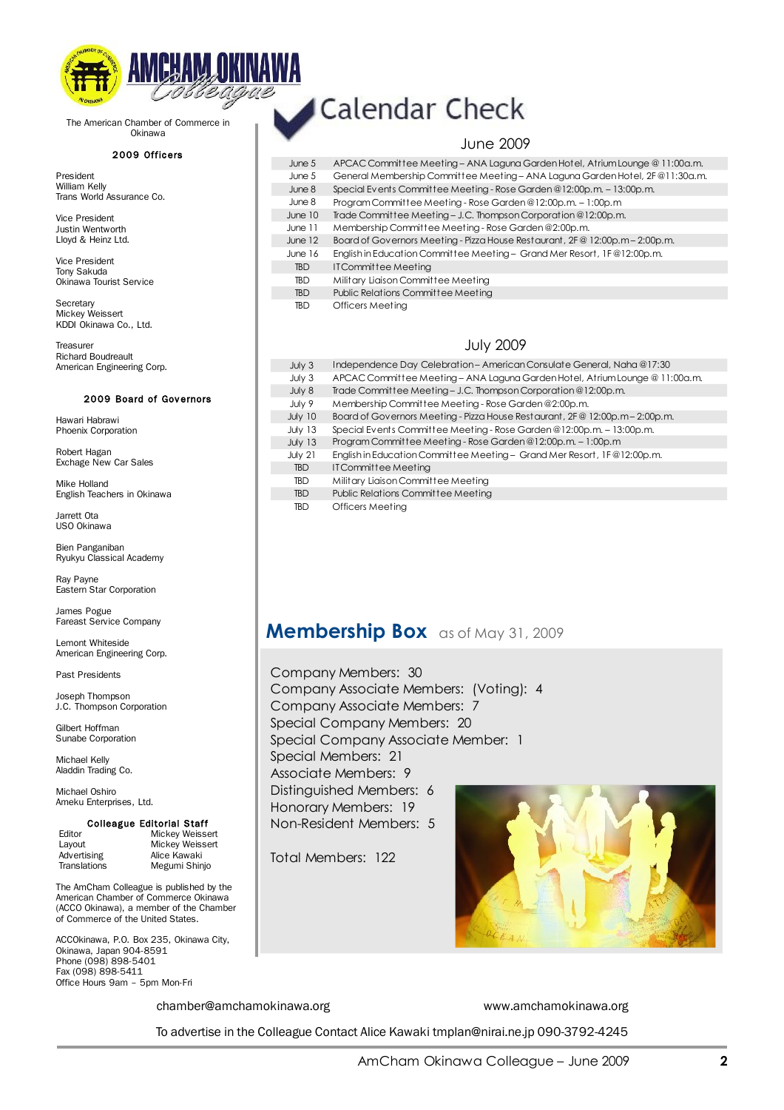

The American Chamber of Commerce in Okinawa

#### 2009 Officers

President William Kelly Trans World Assurance Co.

Vice President Justin Wentworth Lloyd & Heinz Ltd.

Vice President Tony Sakuda Okinawa Tourist Service

**Secretary** Mickey Weissert KDDI Okinawa Co., Ltd.

Treasurer Richard Boudreault American Engineering Corp.

#### 2009 Board of Governors

Hawari Habrawi Phoenix Corporation

Robert Hagan Exchage New Car Sales

Mike Holland English Teachers in Okinawa

Jarrett Ota USO Okinawa

Bien Panganiban Ryukyu Classical Academy

Ray Payne Eastern Star Corporation

James Pogue Fareast Service Company

Lemont Whiteside American Engineering Corp.

Past Presidents

Joseph Thompson J.C. Thompson Corporation

Gilbert Hoffman Sunabe Corporation

Michael Kelly Aladdin Trading Co.

Michael Oshiro Ameku Enterprises, Ltd.

#### Colleague Editorial Staff

Editor Mickey Weissert Layout Mickey Weissert<br>Advertising Alice Kawaki Advertising Alice Kawaki<br>Translations Megumi Shin Megumi Shinjo

The AmCham Colleague is published by the American Chamber of Commerce Okinawa (ACCO Okinawa), a member of the Chamber of Commerce of the United States.

ACCOkinawa, P.O. Box 235, Okinawa City, Okinawa, Japan 904-8591 Phone (098) 898-5401 Fax (098) 898-5411 Office Hours 9am – 5pm Mon-Fri

# **Calendar Check**

#### June 2009

| June $5$      | APCAC Committee Meeting - ANA Laguna Garden Hotel, Atrium Lounge @ 11:00a.m.  |
|---------------|-------------------------------------------------------------------------------|
| $J$ une $5$   | General Membership Committee Meeting - ANA Laguna Garden Hotel, 2F @11:30a.m. |
| June 8        | Special Events Committee Meeting - Rose Garden @12:00p.m. - 13:00p.m.         |
| June 8        | Program Committee Meeting - Rose Garden @12:00p.m. - 1:00p.m                  |
| June 10       | Trade Committee Meeting - J.C. Thompson Corporation @12:00p.m.                |
| $J$ une $11$  | Membership Committee Meeting - Rose Garden @2:00p.m.                          |
| June 12       | Board of Governors Meeting - Pizza House Restaurant, 2F @ 12:00p.m - 2:00p.m. |
| $J$ lune $16$ | English in Education Committee Meeting - Grand Mer Resort, 1F@12:00p.m.       |
| <b>TBD</b>    | <b>ITCommittee Meeting</b>                                                    |
| <b>TBD</b>    | Military Liaison Committee Meeting                                            |
| <b>TBD</b>    | <b>Public Relations Committee Meeting</b>                                     |
| <b>TBD</b>    | <b>Officers Meeting</b>                                                       |

#### July 2009

| July <sub>3</sub> | Independence Day Celebration - American Consulate General, Naha @17:30        |
|-------------------|-------------------------------------------------------------------------------|
| July <sub>3</sub> | APCAC Committee Meeting - ANA Laguna Garden Hotel, Atrium Lounge @ 11:00a.m.  |
| July 8            | Trade Committee Meeting - J.C. Thompson Corporation @12:00p.m.                |
| July 9            | Membership Committee Meeting - Rose Garden @2:00p.m.                          |
| July 10           | Board of Governors Meeting - Pizza House Restaurant, 2F @ 12:00p.m - 2:00p.m. |
| July 13           | Special Events Committee Meeting - Rose Garden @12:00p.m. - 13:00p.m.         |
| July 13           | Program Committee Meeting - Rose Garden @12:00p.m. - 1:00p.m                  |
| July 21           | English in Education Committee Meeting - Grand Mer Resort, 1F@12:00p.m.       |
| <b>TBD</b>        | <b>ITCommittee Meeting</b>                                                    |
| <b>TBD</b>        | Military Liaison Committee Meeting                                            |
| <b>TBD</b>        | <b>Public Relations Committee Meeting</b>                                     |
| TBD               | Officers Meeting                                                              |

## **Membership Box** as of May 31, 2009

Company Members: 30 Company Associate Members: (Voting): 4 Company Associate Members: 7 Special Company Members: 20 Special Company Associate Member: 1 Special Members: 21 Associate Members: 9 Distinguished Members: 6 Honorary Members: 19 Non-Resident Members: 5

Total Members: 122



[chamber@amchamokinawa.org](mailto:chamber@amchamokinawa.org) [www.amchamokinawa.org](http://www.amchamokinawa.org/)

To advertise in the Colleague Contact Alice Kawaki [tmplan@nirai.ne.jp](mailto:tmplan@nirai.ne.jp) 090-3792-4245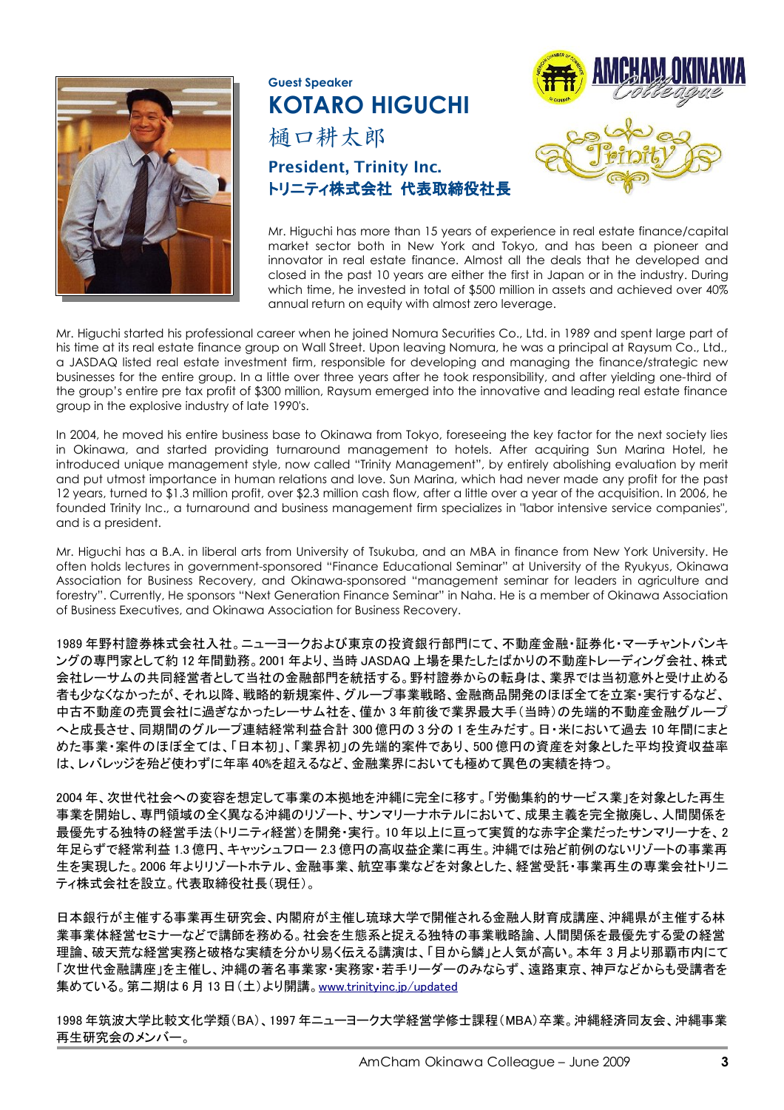

# **Guest Speaker KOTARO HIGUCHI** 樋口耕太郎 President, Trinity Inc. トリニティ株式会社 代表取締役社長

Mr. Higuchi has more than 15 years of experience in real estate finance/capital market sector both in New York and Tokyo, and has been a pioneer and innovator in real estate finance. Almost all the deals that he developed and closed in the past 10 years are either the first in Japan or in the industry. During which time, he invested in total of \$500 million in assets and achieved over 40% annual return on equity with almost zero leverage.

Mr. Higuchi started his professional career when he joined Nomura Securities Co., Ltd. in 1989 and spent large part of his time at its real estate finance group on Wall Street. Upon leaving Nomura, he was a principal at Raysum Co., Ltd., a JASDAQ listed real estate investment firm, responsible for developing and managing the finance/strategic new businesses for the entire group. In a little over three years after he took responsibility, and after yielding one-third of the group's entire pre tax profit of \$300 million, Raysum emerged into the innovative and leading real estate finance group in the explosive industry of late 1990's.

In 2004, he moved his entire business base to Okinawa from Tokyo, foreseeing the key factor for the next society lies in Okinawa, and started providing turnaround management to hotels. After acquiring Sun Marina Hotel, he introduced unique management style, now called "Trinity Management", by entirely abolishing evaluation by merit and put utmost importance in human relations and love. Sun Marina, which had never made any profit for the past 12 years, turned to \$1.3 million profit, over \$2.3 million cash flow, after a little over a year of the acquisition. In 2006, he founded Trinity Inc., a turnaround and business management firm specializes in "labor intensive service companies", and is a president.

Mr. Higuchi has a B.A. in liberal arts from University of Tsukuba, and an MBA in finance from New York University. He often holds lectures in government-sponsored "Finance Educational Seminar" at University of the Ryukyus, Okinawa Association for Business Recovery, and Okinawa-sponsored "management seminar for leaders in agriculture and forestry". Currently, He sponsors "Next Generation Finance Seminar" in Naha. He is a member of Okinawa Association of Business Executives, and Okinawa Association for Business Recovery.

1989 年野村證券株式会社入社。ニューヨークおよび東京の投資銀行部門にて、不動産金融・証券化・マーチャントバンキ ングの専門家として約 12 年間勤務。2001 年より、当時 JASDAQ 上場を果たしたばかりの不動産トレーディング会社、株式 会社レーサムの共同経営者として当社の金融部門を統括する。野村證券からの転身は、業界では当初意外と受け止める 者も少なくなかったが、それ以降、戦略的新規案件、グループ事業戦略、金融商品開発のほぼ全てを立案・実行するなど、 中古不動産の売買会社に過ぎなかったレーサム社を、僅か 3 年前後で業界最大手(当時)の先端的不動産金融グループ へと成長させ、同期間のグループ連結経常利益合計 300 億円の 3 分の 1 を生みだす。日・米において過去 10 年間にまと めた事業・案件のほぼ全ては、「日本初」、「業界初」の先端的案件であり、500 億円の資産を対象とした平均投資収益率 は、レバレッジを殆ど使わずに年率 40%を超えるなど、金融業界においても極めて異色の実績を持つ。

2004 年、次世代社会への変容を想定して事業の本拠地を沖縄に完全に移す。「労働集約的サービス業」を対象とした再生 事業を開始し、専門領域の全く異なる沖縄のリゾート、サンマリーナホテルにおいて、成果主義を完全撤廃し、人間関係を 最優先する独特の経営手法(トリニティ経営)を開発・実行。10 年以上に亘って実質的な赤字企業だったサンマリーナを、2 年足らずで経常利益 1.3 億円、キャッシュフロー 2.3 億円の高収益企業に再生。沖縄では殆ど前例のないリゾートの事業再 生を実現した。2006 年よりリゾートホテル、金融事業、航空事業などを対象とした、経営受託・事業再生の専業会社トリニ ティ株式会社を設立。代表取締役社長(現任)。

日本銀行が主催する事業再生研究会、内閣府が主催し琉球大学で開催される金融人財育成講座、沖縄県が主催する林 業事業体経営セミナーなどで講師を務める。社会を生態系と捉える独特の事業戦略論、人間関係を最優先する愛の経営 理論、破天荒な経営実務と破格な実績を分かり易く伝える講演は、「目から鱗」と人気が高い。本年 3 月より那覇市内にて 「次世代金融講座」を主催し、沖縄の著名事業家・実務家・若手リーダーのみならず、遠路東京、神戸などからも受講者を 集めている。第二期は 6 月 13 日(土)より開講[。www.trinityinc.jp/updated](http://www.trinityinc.jp/updated)

1998 年筑波大学比較文化学類(BA)、1997 年ニューヨーク大学経営学修士課程(MBA)卒業。沖縄経済同友会、沖縄事業 再生研究会のメンバー。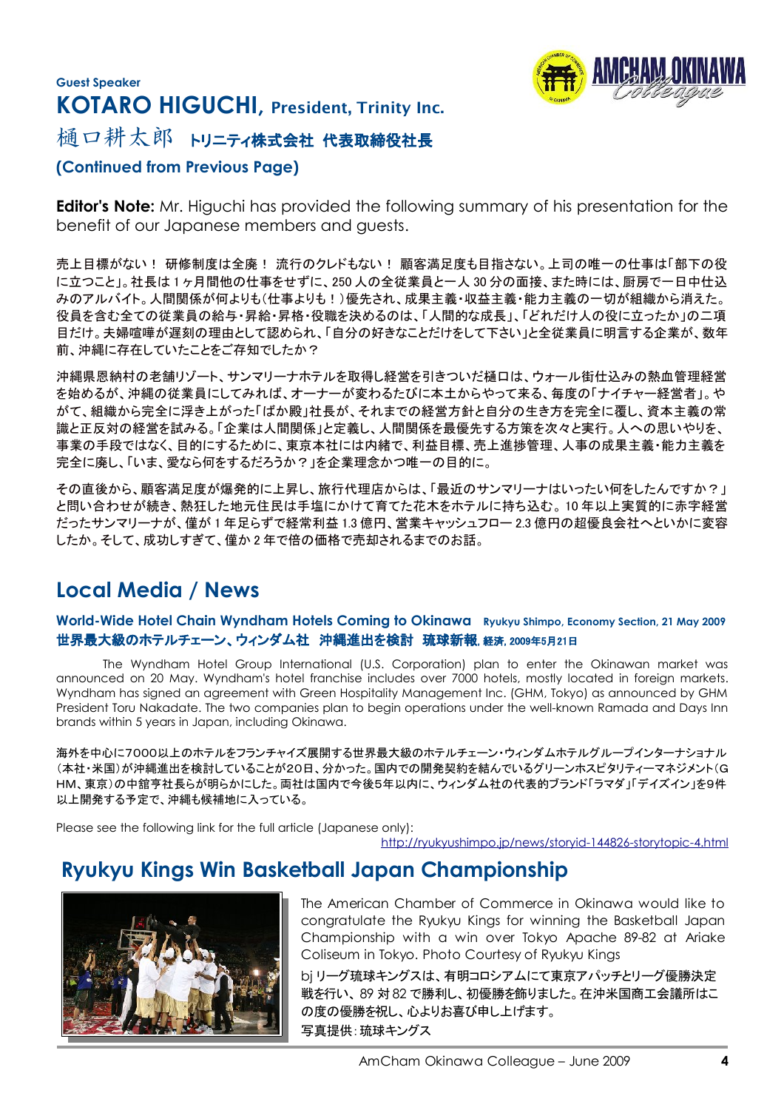

# **Guest Speaker KOTARO HIGUCHI,** President, Trinity Inc. 樋口耕太郎 トリニティ株式会社代表取締役社長

## **(Continued from Previous Page)**

**Editor's Note:** Mr. Higuchi has provided the following summary of his presentation for the benefit of our Japanese members and guests.

売上目標がない! 研修制度は全廃! 流行のクレドもない! 顧客満足度も目指さない。上司の唯一の仕事は「部下の役 に立つこと」。社長は 1 ヶ月間他の仕事をせずに、250 人の全従業員と一人 30 分の面接、また時には、厨房で一日中仕込 みのアルバイト。人間関係が何よりも(仕事よりも!)優先され、成果主義・収益主義・能力主義の一切が組織から消えた。 役員を含む全ての従業員の給与・昇給・昇格・役職を決めるのは、「人間的な成長」、「どれだけ人の役に立ったか」の二項 目だけ。夫婦喧嘩が遅刻の理由として認められ、「自分の好きなことだけをして下さい」と全従業員に明言する企業が、数年 前、沖縄に存在していたことをご存知でしたか?

沖縄県恩納村の老舗リゾート、サンマリーナホテルを取得し経営を引きついだ樋口は、ウォール街仕込みの熱血管理経営 を始めるが、沖縄の従業員にしてみれば、オーナーが変わるたびに本土からやって来る、毎度の「ナイチャー経営者」。や がて、組織から完全に浮き上がった「ばか殿」社長が、それまでの経営方針と自分の生き方を完全に覆し、資本主義の常 識と正反対の経営を試みる。「企業は人間関係」と定義し、人間関係を最優先する方策を次々と実行。人への思いやりを、 事業の手段ではなく、目的にするために、東京本社には内緒で、利益目標、売上進捗管理、人事の成果主義・能力主義を 完全に廃し、「いま、愛なら何をするだろうか?」を企業理念かつ唯一の目的に。

その直後から、顧客満足度が爆発的に上昇し、旅行代理店からは、「最近のサンマリーナはいったい何をしたんですか?」 と問い合わせが続き、熱狂した地元住民は手塩にかけて育てた花木をホテルに持ち込む。 10 年以上実質的に赤字経営 だったサンマリーナが、僅が 1 年足らずで経常利益 1.3 億円、営業キャッシュフロー 2.3 億円の超優良会社へといかに変容 したか。そして、成功しすぎて、僅か 2 年で倍の価格で売却されるまでのお話。

# **Local Media / News**

#### **World-Wide Hotel Chain Wyndham Hotels Coming to Okinawa Ryukyu Shimpo, Economy Section, 21 May 2009** 世界最大級のホテルチェーン、ウィンダム社 沖縄進出を検討 琉球新報, 経済, 2009年5月21日

The Wyndham Hotel Group International (U.S. Corporation) plan to enter the Okinawan market was announced on 20 May. Wyndham's hotel franchise includes over 7000 hotels, mostly located in foreign markets. Wyndham has signed an agreement with Green Hospitality Management Inc. (GHM, Tokyo) as announced by GHM President Toru Nakadate. The two companies plan to begin operations under the well-known Ramada and Days Inn brands within 5 years in Japan, including Okinawa.

海外を中心に7000以上のホテルをフランチャイズ展開する世界最大級のホテルチェーン・ウィンダムホテルグループインターナショナル (本社・米国)が沖縄進出を検討していることが20日、分かった。国内での開発契約を結んでいるグリーンホスピタリティーマネジメント(G HM、東京)の中舘亨社長らが明らかにした。両社は国内で今後5年以内に、ウィンダム社の代表的ブランド「ラマダ」「デイズイン」を9件 以上開発する予定で、沖縄も候補地に入っている。

Please see the following link for the full article (Japanese only):

<http://ryukyushimpo.jp/news/storyid-144826-storytopic-4.html>

# **Ryukyu Kings Win Basketball Japan Championship**



The American Chamber of Commerce in Okinawa would like to congratulate the Ryukyu Kings for winning the Basketball Japan Championship with a win over Tokyo Apache 89-82 at Ariake Coliseum in Tokyo. Photo Courtesy of Ryukyu Kings

bj リーグ琉球キングスは、有明コロシアムにて東京アパッチとリーグ優勝決定 戦を行い、 89 対 82 で勝利し、初優勝を飾りました。在沖米国商工会議所はこ の度の優勝を祝し、心よりお喜び申し上げます。 写真提供:琉球キングス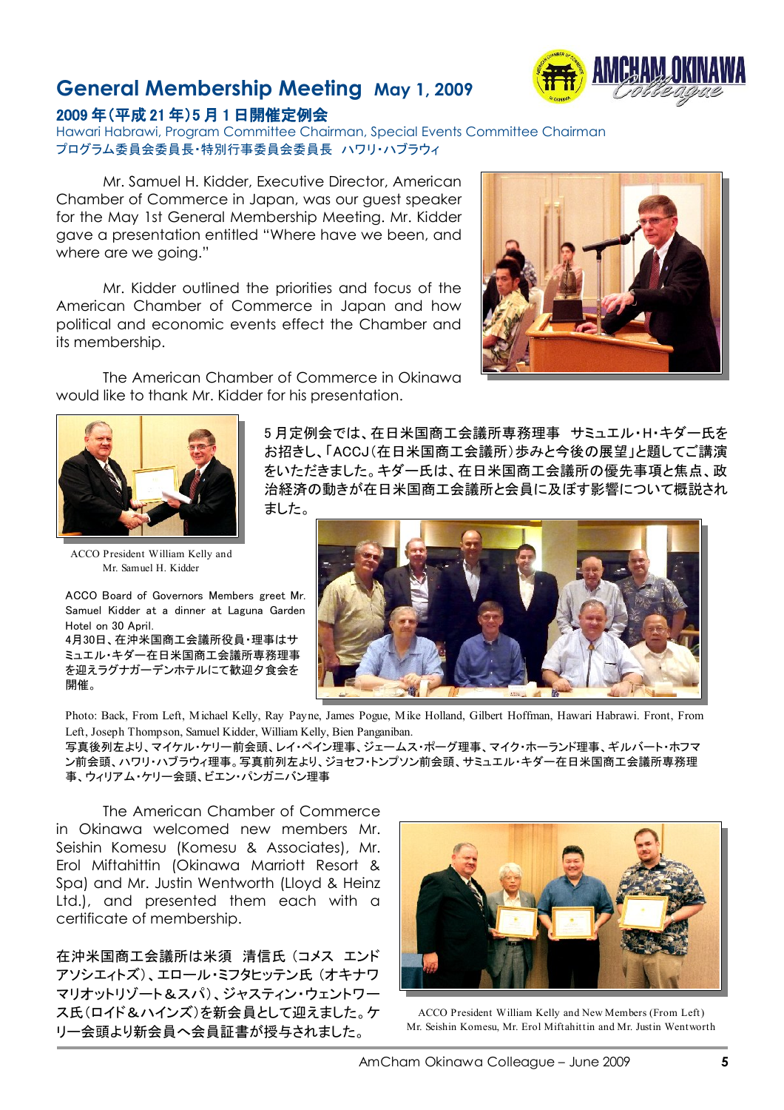# **General Membership Meeting May 1, 2009**



#### 2009 年(平成 21 年)5 月 1 日開催定例会

Hawari Habrawi, Program Committee Chairman, Special Events Committee Chairman プログラム委員会委員長・特別行事委員会委員長 ハワリ・ハブラウィ

Mr. Samuel H. Kidder, Executive Director, American Chamber of Commerce in Japan, was our guest speaker for the May 1st General Membership Meeting. Mr. Kidder gave a presentation entitled "Where have we been, and where are we going."

Mr. Kidder outlined the priorities and focus of the American Chamber of Commerce in Japan and how political and economic events effect the Chamber and its membership.



The American Chamber of Commerce in Okinawa would like to thank Mr. Kidder for his presentation.



ACCO President William Kelly and Mr. Samuel H. Kidder

ACCO Board of Governors Members greet Mr. Samuel Kidder at a dinner at Laguna Garden Hotel on 30 April.

4月30日、在沖米国商工会議所役員・理事はサ ミュエル・キダー在日米国商工会議所専務理事 を迎えラグナガーデンホテルにて歓迎夕食会を 開催。

5 月定例会では、在日米国商工会議所専務理事 サミュエル・H・キダー氏を お招きし、「ACCJ(在日米国商工会議所)歩みと今後の展望」と題してご講演 をいただきました。キダー氏は、在日米国商工会議所の優先事項と焦点、政 治経済の動きが在日米国商工会議所と会員に及ぼす影響について概説され ました。



Photo: Back, From Left, Michael Kelly, Ray Payne, James Pogue, Mike Holland, Gilbert Hoffman, Hawari Habrawi. Front, From Left, Joseph Thompson, Samuel Kidder, William Kelly, Bien Panganiban.

写真後列左より、マイケル・ケリー前会頭、レイ・ペイン理事、ジェームス・ポーグ理事、マイク・ホーランド理事、ギルバート・ホフマ ン前会頭、ハワリ・ハブラウィ理事。写真前列左より、ジョセフ・トンプソン前会頭、サミュエル・キダー在日米国商工会議所専務理 事、ウィリアム・ケリー会頭、ビエン・パンガニバン理事

The American Chamber of Commerce in Okinawa welcomed new members Mr. Seishin Komesu (Komesu & Associates), Mr. Erol Miftahittin (Okinawa Marriott Resort & Spa) and Mr. Justin Wentworth (Lloyd & Heinz Ltd.), and presented them each with a certificate of membership.

在沖米国商工会議所は米須 清信氏 (コメス エンド アソシエィトズ)、エロール・ミフタヒッテン氏 (オキナワ マリオットリゾート&スパ)、ジャスティン・ウェントワー ス氏(ロイド&ハインズ)を新会員として迎えました。ケ リー会頭より新会員へ会員証書が授与されました。



ACCO President William Kelly and New Members (From Left) Mr. Seishin Komesu, Mr. Erol Miftahittin and Mr. Justin Wentworth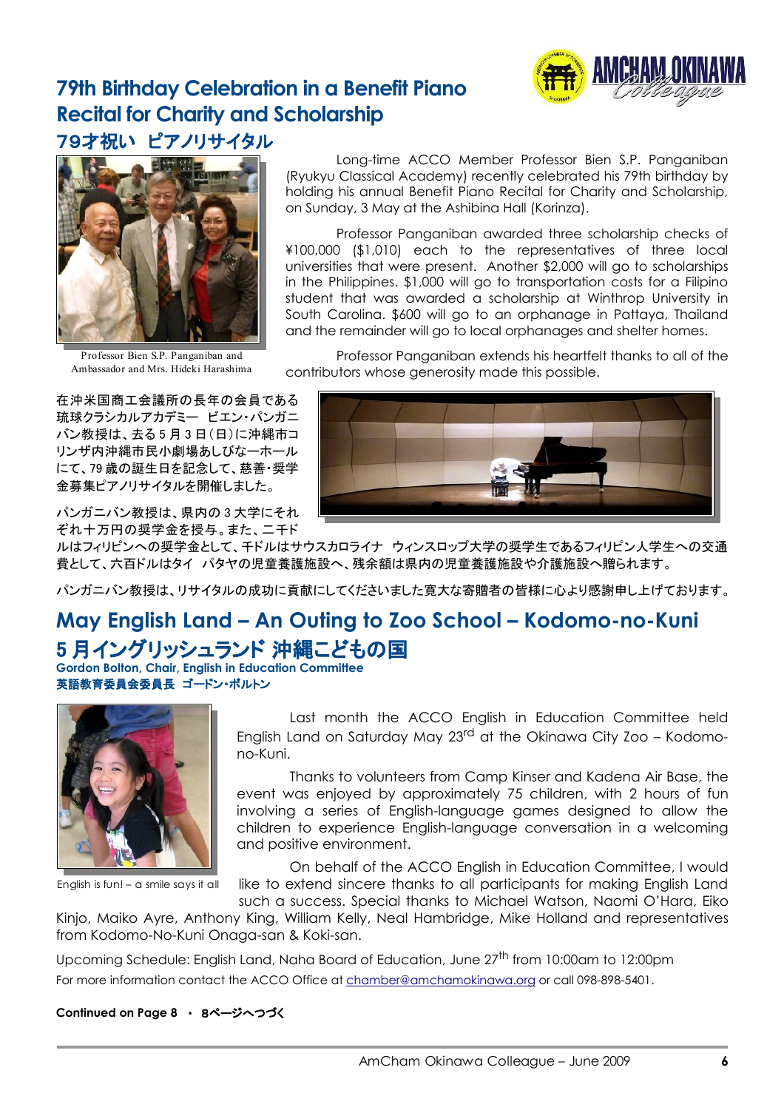

# **79th Birthday Celebration in a Benefit Piano Recital for Charity and Scholarship** 79才祝い ピアノリサイタル



Professor Bien S.P. Panganiban and Ambassador and Mrs. Hideki Harashima

在沖米国商工会議所の長年の会員である 琉球クラシカルアカデミー ビエン・パンガニ バン教授は、去る 5 月 3 日(日)に沖縄市コ リンザ内沖縄市民小劇場あしびなーホール にて、79 歳の誕生日を記念して、慈善・奨学 金募集ピアノリサイタルを開催しました。

パンガニバン教授は、県内の 3 大学にそれ ぞれ十万円の奨学金を授与。また、二千ド

Long-time ACCO Member Professor Bien S.P. Panganiban (Ryukyu Classical Academy) recently celebrated his 79th birthday by holding his annual Benefit Piano Recital for Charity and Scholarship, on Sunday, 3 May at the Ashibina Hall (Korinza).

Professor Panganiban awarded three scholarship checks of ¥100,000 (\$1,010) each to the representatives of three local universities that were present. Another \$2,000 will go to scholarships in the Philippines. \$1,000 will go to transportation costs for a Filipino student that was awarded a scholarship at Winthrop University in South Carolina. \$600 will go to an orphanage in Pattaya, Thailand and the remainder will go to local orphanages and shelter homes.

Professor Panganiban extends his heartfelt thanks to all of the contributors whose generosity made this possible.



ルはフィリピンへの奨学金として、千ドルはサウスカロライナ ウィンスロップ大学の奨学生であるフィリピン人学生への交通 費として、六百ドルはタイ パタヤの児童養護施設へ、残余額は県内の児童養護施設や介護施設へ贈られます。

パンガニバン教授は、リサイタルの成功に貢献にしてくださいました寛大な寄贈者の皆様に心より感謝申し上げております。

# **May English Land – An Outing to Zoo School – Kodomo-no-Kuni** 5 月イングリッシュランド 沖縄こどもの国

**Gordon Bolton, Chair, English in Education Committee** 英語教育委員会委員長 ゴードン・ボルトン



English is fun! – a smile says it all

Last month the ACCO English in Education Committee held English Land on Saturday May 23<sup>rd</sup> at the Okinawa City Zoo - Kodomono-Kuni.

Thanks to volunteers from Camp Kinser and Kadena Air Base, the event was enjoyed by approximately 75 children, with 2 hours of fun involving a series of English-language games designed to allow the children to experience English-language conversation in a welcoming and positive environment.

On behalf of the ACCO English in Education Committee, I would like to extend sincere thanks to all participants for making English Land such a success. Special thanks to Michael Watson, Naomi O'Hara, Eiko

Kinjo, Maiko Ayre, Anthony King, William Kelly, Neal Hambridge, Mike Holland and representatives from Kodomo-No-Kuni Onaga-san & Koki-san.

Upcoming Schedule: English Land, Naha Board of Education, June 27<sup>th</sup> from 10:00am to 12:00pm For more information contact the ACCO Office at [chamber@amchamokinawa.org](mailto:chamber@amchamokinawa.org) or call 098-898-5401.

#### **Continued on Page 8** ・ 8ページへつづく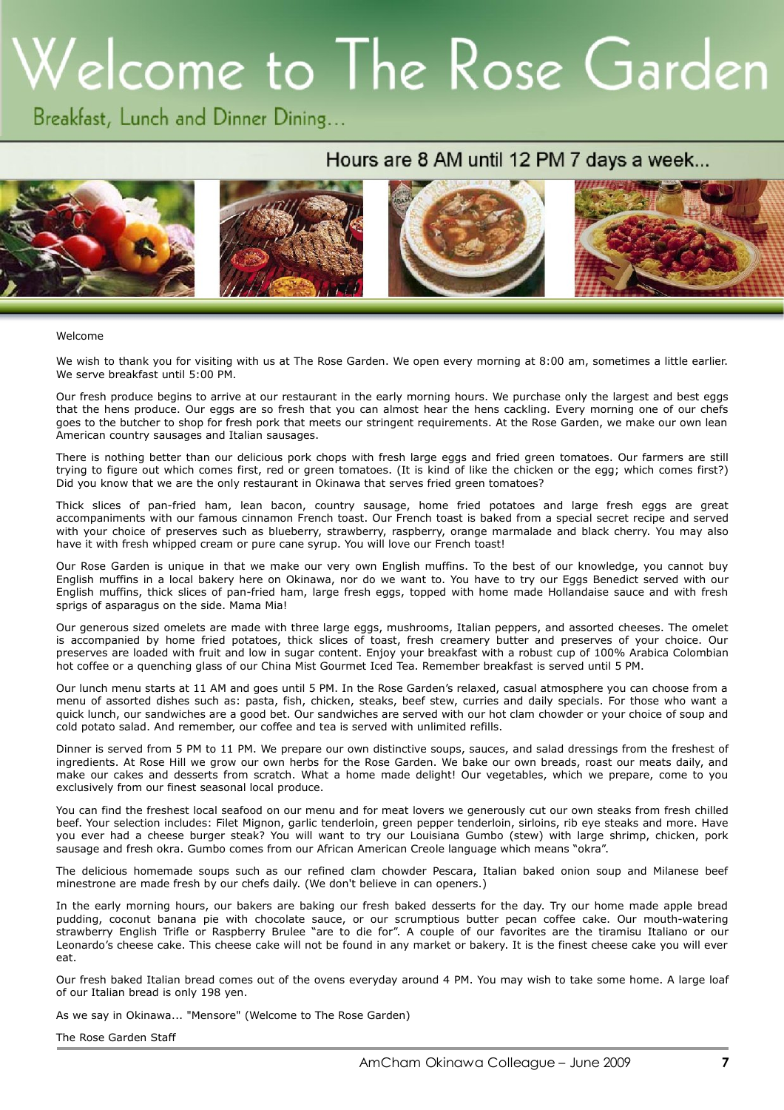# Welcome to The Rose Garden

Breakfast, Lunch and Dinner Dining...

## Hours are 8 AM until 12 PM 7 days a week...



#### welcome with the contract of the contract of the contract of the contract of the contract of the contract of the contract of the contract of the contract of the contract of the contract of the contract of the contract of t

We wish to thank you for visiting with us at The Rose Garden. We open every morning at 8:00 am, sometimes a little earlier. We serve breakfast until 5:00 PM.

Our fresh produce begins to arrive at our restaurant in the early morning hours. We purchase only the largest and best eggs that the hens produce. Our eggs are so fresh that you can almost hear the hens cackling. Every morning one of our chefs goes to the butcher to shop for fresh pork that meets our stringent requirements. At the Rose Garden, we make our own lean American country sausages and Italian sausages.

There is nothing better than our delicious pork chops with fresh large eggs and fried green tomatoes. Our farmers are still trying to figure out which comes first, red or green tomatoes. (It is kind of like the chicken or the egg; which comes first?) Did you know that we are the only restaurant in Okinawa that serves fried green tomatoes?

Thick slices of pan-fried ham, lean bacon, country sausage, home fried potatoes and large fresh eggs are great accompaniments with our famous cinnamon French toast. Our French toast is baked from a special secret recipe and served with your choice of preserves such as blueberry, strawberry, raspberry, orange marmalade and black cherry. You may also have it with fresh whipped cream or pure cane syrup. You will love our French toast!

Our Rose Garden is unique in that we make our very own English muffins. To the best of our knowledge, you cannot buy English muffins in a local bakery here on Okinawa, nor do we want to. You have to try our Eggs Benedict served with our English muffins, thick slices of pan-fried ham, large fresh eggs, topped with home made Hollandaise sauce and with fresh sprigs of asparagus on the side. Mama Mia!

Our generous sized omelets are made with three large eggs, mushrooms, Italian peppers, and assorted cheeses. The omelet is accompanied by home fried potatoes, thick slices of toast, fresh creamery butter and preserves of your choice. Our preserves are loaded with fruit and low in sugar content. Enjoy your breakfast with a robust cup of 100% Arabica Colombian hot coffee or a quenching glass of our China Mist Gourmet Iced Tea. Remember breakfast is served until 5 PM.

Our lunch menu starts at 11 AM and goes until 5 PM. In the Rose Garden's relaxed, casual atmosphere you can choose from a menu of assorted dishes such as: pasta, fish, chicken, steaks, beef stew, curries and daily specials. For those who want a quick lunch, our sandwiches are a good bet. Our sandwiches are served with our hot clam chowder or your choice of soup and cold potato salad. And remember, our coffee and tea is served with unlimited refills.

Dinner is served from 5 PM to 11 PM. We prepare our own distinctive soups, sauces, and salad dressings from the freshest of ingredients. At Rose Hill we grow our own herbs for the Rose Garden. We bake our own breads, roast our meats daily, and make our cakes and desserts from scratch. What a home made delight! Our vegetables, which we prepare, come to you exclusively from our finest seasonal local produce.

You can find the freshest local seafood on our menu and for meat lovers we generously cut our own steaks from fresh chilled beef. Your selection includes: Filet Mignon, garlic tenderloin, green pepper tenderloin, sirloins, rib eye steaks and more. Have you ever had a cheese burger steak? You will want to try our Louisiana Gumbo (stew) with large shrimp, chicken, pork sausage and fresh okra. Gumbo comes from our African American Creole language which means "okra".

The delicious homemade soups such as our refined clam chowder Pescara, Italian baked onion soup and Milanese beef minestrone are made fresh by our chefs daily. (We don't believe in can openers.)

In the early morning hours, our bakers are baking our fresh baked desserts for the day. Try our home made apple bread pudding, coconut banana pie with chocolate sauce, or our scrumptious butter pecan coffee cake. Our mouth-watering strawberry English Trifle or Raspberry Brulee "are to die for". A couple of our favorites are the tiramisu Italiano or our Leonardo's cheese cake. This cheese cake will not be found in any market or bakery. It is the finest cheese cake you will ever eat.

Our fresh baked Italian bread comes out of the ovens everyday around 4 PM. You may wish to take some home. A large loaf of our Italian bread is only 198 yen.

As we say in Okinawa... "Mensore" (Welcome to The Rose Garden)

The Rose Garden Staff